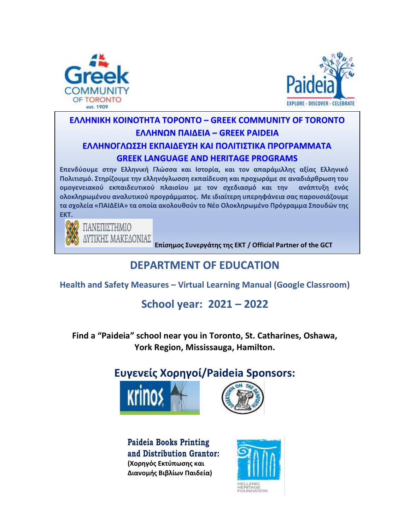



## **EΛΛΗΝΙΚΗ ΚΟΙΝΟΤΗΤΑ ΤΟΡΟΝΤΟ – GREEK COMMUNITY OF TORONTO ΕΛΛΗΝΩΝ ΠΑΙΔΕΙΑ – GREEK PAIDEIA ΕΛΛΗΝΟΓΛΩΣΣΗ ΕΚΠΑΙΔΕΥΣΗ ΚΑΙ ΠΟΛΙΤΙΣΤΙΚΑ ΠΡΟΓΡΑΜΜΑΤΑ GREEK LANGUAGE AND HERITAGE PROGRAMS**

**Επενδύουμε στην Ελληνική Γλώσσα και Ιστορία, και τον απαράμιλλης αξίας Ελληνικό Πολιτισμό. Στηρίζουμε την ελληνόγλωσση εκπαίδευση και προχωράμε σε αναδιάρθρωση του ομογενειακού εκπαιδευτικού πλαισίου με τον σχεδιασμό και την ανάπτυξη ενός ολοκληρωμένου αναλυτικού προγράμματος. Με ιδιαίτερη υπερηφάνεια σας παρουσιάζουμε τα σχολεία «ΠΑΙΔΕΙΑ» τα οποία ακολουθούν το Νέο Ολοκληρωμένο Πρόγραμμα Σπουδών της ΕΚΤ.**



**Επίσημος Συνεργάτης της ΕΚΤ / Official Partner of the GCT**

# **DEPARTMENT OF EDUCATION**

**Health and Safety Measures – Virtual Learning Manual (Google Classroom)**

# **School year: 2021 – 2022**

**Find a "Paideia" school near you in Toronto, St. Catharines, Oshawa, York Region, Mississauga, Hamilton.** 

# **Ευγενείς Χορηγοί/Paideia Sponsors:**





**Paideia Books Printing and Distribution Grantor: (Χορηγός Εκτύπωσης και Διανομής Βιβλίων Παιδεία)**

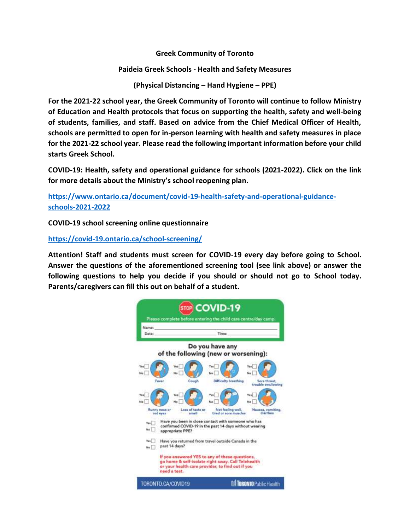**Greek Community of Toronto**

**Paideia Greek Schools - Health and Safety Measures**

**(Physical Distancing – Hand Hygiene – PPE)**

**For the 2021-22 school year, the Greek Community of Toronto will continue to follow Ministry of Education and Health protocols that focus on supporting the health, safety and well-being of students, families, and staff. Based on advice from the Chief Medical Officer of Health, schools are permitted to open for in-person learning with health and safety measures in place for the 2021-22 school year. Please read the following important information before your child starts Greek School.** 

**COVID-19: Health, safety and operational guidance for schools (2021-2022). Click on the link for more details about the Ministry's school reopening plan.** 

**[https://www.ontario.ca/document/covid-19-health-safety-and-operational-guidance](https://www.ontario.ca/document/covid-19-health-safety-and-operational-guidance-schools-2021-2022)[schools-2021-2022](https://www.ontario.ca/document/covid-19-health-safety-and-operational-guidance-schools-2021-2022)**

**COVID-19 school screening online questionnaire**

**<https://covid-19.ontario.ca/school-screening/>**

**Attention! Staff and students must screen for COVID-19 every day before going to School. Answer the questions of the aforementioned screening tool (see link above) or answer the following questions to help you decide if you should or should not go to School today. Parents/caregivers can fill this out on behalf of a student.**

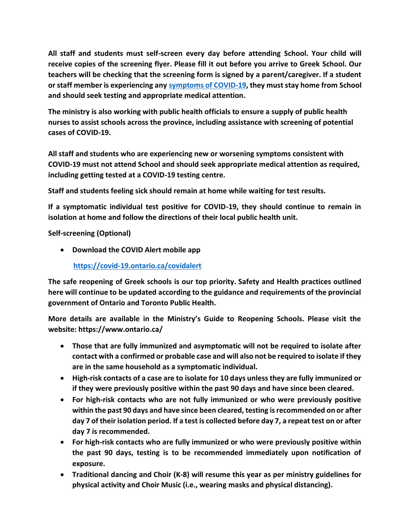**All staff and students must self-screen every day before attending School. Your child will receive copies of the screening flyer. Please fill it out before you arrive to Greek School. Our teachers will be checking that the screening form is signed by a parent/caregiver. If a student or staff member is experiencing any [symptoms of COVID-19,](http://www.health.gov.on.ca/en/pro/programs/publichealth/coronavirus/docs/2019_reference_doc_symptoms.pdf) they must stay home from School and should seek testing and appropriate medical attention.**

**The ministry is also working with public health officials to ensure a supply of public health nurses to assist schools across the province, including assistance with screening of potential cases of COVID-19.**

**All staff and students who are experiencing new or worsening symptoms consistent with COVID-19 must not attend School and should seek appropriate medical attention as required, including getting tested at a COVID-19 testing centre.**

**Staff and students feeling sick should remain at home while waiting for test results.**

**If a symptomatic individual test positive for COVID-19, they should continue to remain in isolation at home and follow the directions of their local public health unit.**

**Self-screening (Optional)**

• **Download the COVID Alert mobile app**

 **<https://covid-19.ontario.ca/covidalert>**

**The safe reopening of Greek schools is our top priority. Safety and Health practices outlined here will continue to be updated according to the guidance and requirements of the provincial government of Ontario and Toronto Public Health.** 

**More details are available in the Ministry's Guide to Reopening Schools. Please visit the website: https://www.ontario.ca/**

- **Those that are fully immunized and asymptomatic will not be required to isolate after contact with a confirmed or probable case and will also not be required to isolate if they are in the same household as a symptomatic individual.**
- **High-risk contacts of a case are to isolate for 10 days unless they are fully immunized or if they were previously positive within the past 90 days and have since been cleared.**
- **For high-risk contacts who are not fully immunized or who were previously positive within the past 90 days and have since been cleared, testing is recommended on or after day 7 of their isolation period. If a test is collected before day 7, a repeat test on or after day 7 is recommended.**
- **For high-risk contacts who are fully immunized or who were previously positive within the past 90 days, testing is to be recommended immediately upon notification of exposure.**
- **Traditional dancing and Choir (K-8) will resume this year as per ministry guidelines for physical activity and Choir Music (i.e., wearing masks and physical distancing).**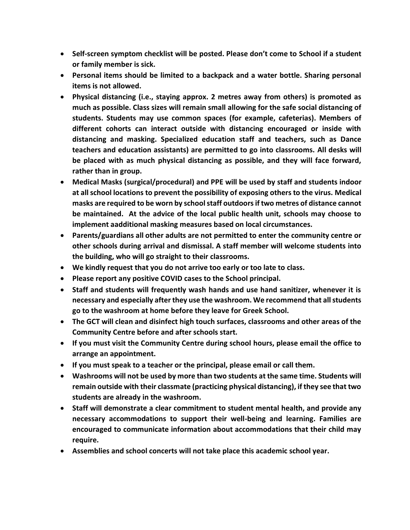- **Self-screen symptom checklist will be posted. Please don't come to School if a student or family member is sick.**
- **Personal items should be limited to a backpack and a water bottle. Sharing personal items is not allowed.**
- **Physical distancing (i.e., staying approx. 2 metres away from others) is promoted as much as possible. Class sizes will remain small allowing for the safe social distancing of students. Students may use common spaces (for example, cafeterias). Members of different cohorts can interact outside with distancing encouraged or inside with distancing and masking. Specialized education staff and teachers, such as Dance teachers and education assistants) are permitted to go into classrooms. All desks will be placed with as much physical distancing as possible, and they will face forward, rather than in group.**
- **Medical Masks (surgical/procedural) and PPE will be used by staff and students indoor at all school locations to prevent the possibility of exposing others to the virus. Medical masks are required to be worn by school staff outdoors if two metres of distance cannot be maintained. At the advice of the local public health unit, schools may choose to implement aadditional masking measures based on local circumstances.**
- **Parents/guardians all other adults are not permitted to enter the community centre or other schools during arrival and dismissal. A staff member will welcome students into the building, who will go straight to their classrooms.**
- **We kindly request that you do not arrive too early or too late to class.**
- **Please report any positive COVID cases to the School principal.**
- **Staff and students will frequently wash hands and use hand sanitizer, whenever it is necessary and especially after they use the washroom. We recommend that all students go to the washroom at home before they leave for Greek School.**
- **The GCT will clean and disinfect high touch surfaces, classrooms and other areas of the Community Centre before and after schools start.**
- **If you must visit the Community Centre during school hours, please email the office to arrange an appointment.**
- **If you must speak to a teacher or the principal, please email or call them.**
- **Washrooms will not be used by more than two students at the same time. Students will remain outside with their classmate (practicing physical distancing), if they see that two students are already in the washroom.**
- **Staff will demonstrate a clear commitment to student mental health, and provide any necessary accommodations to support their well-being and learning. Families are encouraged to communicate information about accommodations that their child may require.**
- **Assemblies and school concerts will not take place this academic school year.**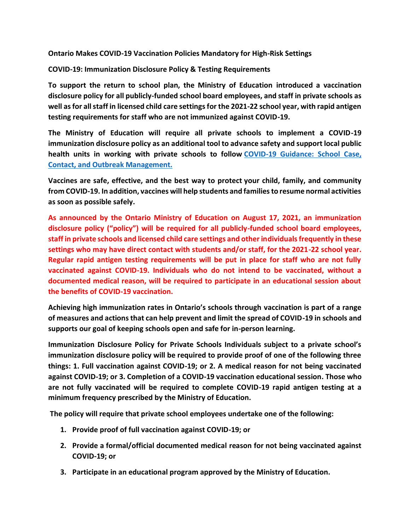**Ontario Makes COVID-19 Vaccination Policies Mandatory for High-Risk Settings**

**COVID-19: Immunization Disclosure Policy & Testing Requirements**

**To support the return to school plan, the Ministry of Education introduced a vaccination disclosure policy for all publicly-funded school board employees, and staff in private schools as well as for all staff in licensed child care settings for the 2021-22 school year, with rapid antigen testing requirements for staff who are not immunized against COVID-19.**

**The Ministry of Education will require all private schools to implement a COVID-19 immunization disclosure policy as an additional tool to advance safety and support local public health units in working with private schools to follow [COVID-19 Guidance: School Case,](https://www.health.gov.on.ca/en/pro/programs/publichealth/coronavirus/docs/COVID-19_school_outbreak_guidance.pdf)  [Contact, and Outbreak Management.](https://www.health.gov.on.ca/en/pro/programs/publichealth/coronavirus/docs/COVID-19_school_outbreak_guidance.pdf)**

**Vaccines are safe, effective, and the best way to protect your child, family, and community from COVID-19. In addition, vaccines will help students and families to resume normal activities as soon as possible safely.** 

**As announced by the Ontario Ministry of Education on August 17, 2021, an immunization disclosure policy ("policy") will be required for all publicly-funded school board employees, staff in private schools and licensed child care settings and other individuals frequently in these settings who may have direct contact with students and/or staff, for the 2021-22 school year. Regular rapid antigen testing requirements will be put in place for staff who are not fully vaccinated against COVID-19. Individuals who do not intend to be vaccinated, without a documented medical reason, will be required to participate in an educational session about the benefits of COVID-19 vaccination.**

**Achieving high immunization rates in Ontario's schools through vaccination is part of a range of measures and actions that can help prevent and limit the spread of COVID-19 in schools and supports our goal of keeping schools open and safe for in-person learning.**

**Immunization Disclosure Policy for Private Schools Individuals subject to a private school's immunization disclosure policy will be required to provide proof of one of the following three things: 1. Full vaccination against COVID-19; or 2. A medical reason for not being vaccinated against COVID-19; or 3. Completion of a COVID-19 vaccination educational session. Those who are not fully vaccinated will be required to complete COVID-19 rapid antigen testing at a minimum frequency prescribed by the Ministry of Education.**

**The policy will require that private school employees undertake one of the following:**

- **1. Provide proof of full vaccination against COVID-19; or**
- **2. Provide a formal/official documented medical reason for not being vaccinated against COVID-19; or**
- **3. Participate in an educational program approved by the Ministry of Education.**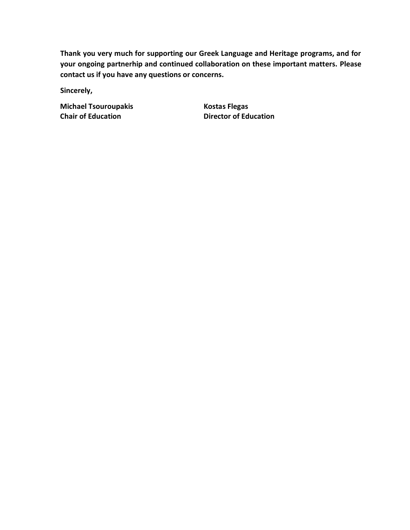**Thank you very much for supporting our Greek Language and Heritage programs, and for your ongoing partnerhip and continued collaboration on these important matters. Please contact us if you have any questions or concerns.**

**Sincerely,** 

**Michael Tsouroupakis Kostas Flegas Chair of Education Director of Education**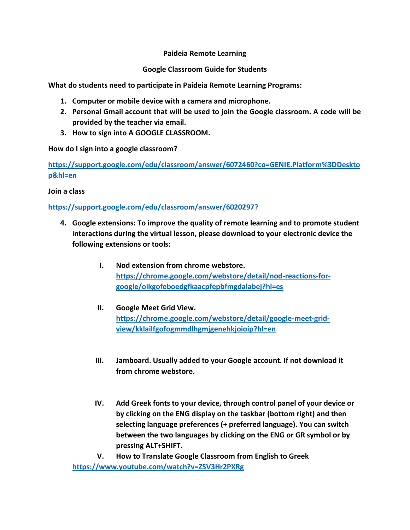#### **Paideia Remote Learning**

#### **Google Classroom Guide for Students**

**What do students need to participate in Paideia Remote Learning Programs:** 

- **1. Computer or mobile device with a camera and microphone.**
- **2. Personal Gmail account that will be used to join the Google classroom. A code will be provided by the teacher via email.**
- **3. How to sign into A GOOGLE CLASSROOM.**

**How do I sign into a google classroom?**

**[https://support.google.com/edu/classroom/answer/6072460?co=GENIE.Platform%3DDeskto](https://support.google.com/edu/classroom/answer/6072460?co=GENIE.Platform%3DDesktop&hl=en) [p&hl=en](https://support.google.com/edu/classroom/answer/6072460?co=GENIE.Platform%3DDesktop&hl=en)**

**Join a class**

### **[https://support.google.com/edu/classroom/answer/6020297?](https://support.google.com/edu/classroom/answer/6020297)**

- **4. Google extensions: To improve the quality of remote learning and to promote student interactions during the virtual lesson, please download to your electronic device the following extensions or tools:** 
	- **I. Nod extension from chrome webstore. [https://chrome.google.com/webstore/detail/nod-reactions-for](https://chrome.google.com/webstore/detail/nod-reactions-for-google/oikgofeboedgfkaacpfepbfmgdalabej?hl=es)[google/oikgofeboedgfkaacpfepbfmgdalabej?hl=es](https://chrome.google.com/webstore/detail/nod-reactions-for-google/oikgofeboedgfkaacpfepbfmgdalabej?hl=es)**
	- **II. Google Meet Grid View. [https://chrome.google.com/webstore/detail/google-meet-grid](https://chrome.google.com/webstore/detail/google-meet-grid-view/kklailfgofogmmdlhgmjgenehkjoioip?hl=en)[view/kklailfgofogmmdlhgmjgenehkjoioip?hl=en](https://chrome.google.com/webstore/detail/google-meet-grid-view/kklailfgofogmmdlhgmjgenehkjoioip?hl=en)**
	- **III. Jamboard. Usually added to your Google account. If not download it from chrome webstore.**
	- **IV. Add Greek fonts to your device, through control panel of your device or by clicking on the ENG display on the taskbar (bottom right) and then selecting language preferences (+ preferred language). You can switch between the two languages by clicking on the ENG or GR symbol or by pressing ALT+SHIFT.**

**V. How to Translate Google Classroom from English to Greek <https://www.youtube.com/watch?v=ZSV3Hr2PXRg>**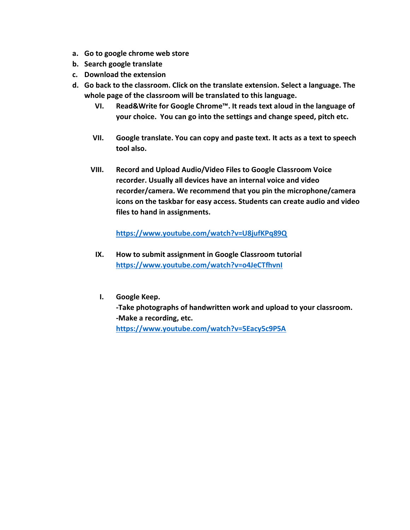- **a. Go to google chrome web store**
- **b. Search google translate**
- **c. Download the extension**
- **d. Go back to the classroom. Click on the translate extension. Select a language. The whole page of the classroom will be translated to this language.** 
	- **VI. Read&Write for Google Chrome™. It reads text aloud in the language of your choice. You can go into the settings and change speed, pitch etc.**
	- **VII. Google translate. You can copy and paste text. It acts as a text to speech tool also.**
	- **VIII. Record and Upload Audio/Video Files to Google Classroom Voice recorder. Usually all devices have an internal voice and video recorder/camera. We recommend that you pin the microphone/camera icons on the taskbar for easy access. Students can create audio and video files to hand in assignments.**

**<https://www.youtube.com/watch?v=U8jufKPq89Q>**

- **IX. How to submit assignment in Google Classroom tutorial <https://www.youtube.com/watch?v=o4JeCTfhvnI>**
- **I. Google Keep. -Take photographs of handwritten work and upload to your classroom. -Make a recording, etc. <https://www.youtube.com/watch?v=5Eacy5c9P5A>**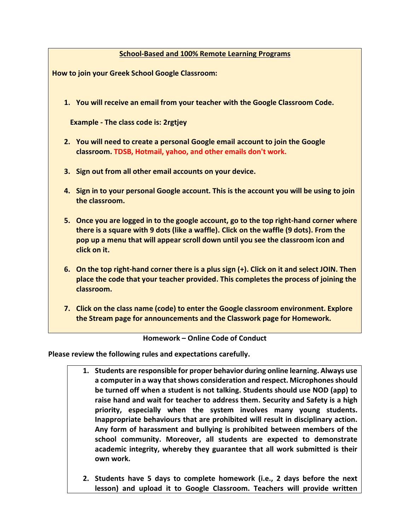#### **School-Based and 100% Remote Learning Programs**

**How to join your Greek School Google Classroom:** 

**1. You will receive an email from your teacher with the Google Classroom Code.**

 **Example - The class code is: 2rgtjey** 

- **2. You will need to create a personal Google email account to join the Google classroom. TDSB, Hotmail, yahoo, and other emails don't work.**
- **3. Sign out from all other email accounts on your device.**
- **4. Sign in to your personal Google account. This is the account you will be using to join the classroom.**
- **5. Once you are logged in to the google account, go to the top right-hand corner where there is a square with 9 dots (like a waffle). Click on the waffle (9 dots). From the pop up a menu that will appear scroll down until you see the classroom icon and click on it.**
- **6. On the top right-hand corner there is a plus sign (+). Click on it and select JOIN. Then place the code that your teacher provided. This completes the process of joining the classroom.**
- **7. Click on the class name (code) to enter the Google classroom environment. Explore the Stream page for announcements and the Classwork page for Homework.**

**Homework – Online Code of Conduct**

**Please review the following rules and expectations carefully.**

- **1. Students are responsible for proper behavior during online learning. Always use a computer in a way that shows consideration and respect. Microphones should be turned off when a student is not talking. Students should use NOD (app) to raise hand and wait for teacher to address them. Security and Safety is a high priority, especially when the system involves many young students. Inappropriate behaviours that are prohibited will result in disciplinary action. Any form of harassment and bullying is prohibited between members of the school community. Moreover, all students are expected to demonstrate academic integrity, whereby they guarantee that all work submitted is their own work.**
- **2. Students have 5 days to complete homework (i.e., 2 days before the next lesson) and upload it to Google Classroom. Teachers will provide written**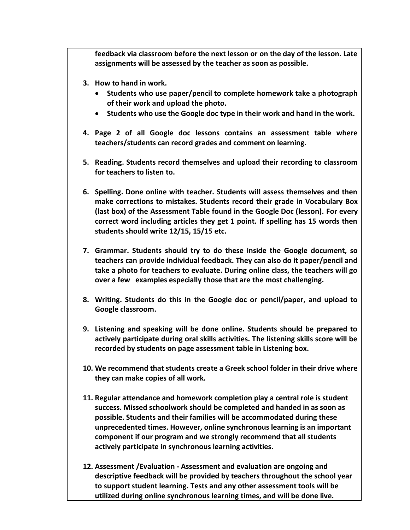**feedback via classroom before the next lesson or on the day of the lesson. Late assignments will be assessed by the teacher as soon as possible.** 

- **3. How to hand in work.**
	- **Students who use paper/pencil to complete homework take a photograph of their work and upload the photo.**
	- **Students who use the Google doc type in their work and hand in the work.**
- **4. Page 2 of all Google doc lessons contains an assessment table where teachers/students can record grades and comment on learning.**
- **5. Reading. Students record themselves and upload their recording to classroom for teachers to listen to.**
- **6. Spelling. Done online with teacher. Students will assess themselves and then make corrections to mistakes. Students record their grade in Vocabulary Box (last box) of the Assessment Table found in the Google Doc (lesson). For every correct word including articles they get 1 point. If spelling has 15 words then students should write 12/15, 15/15 etc.**
- **7. Grammar. Students should try to do these inside the Google document, so teachers can provide individual feedback. They can also do it paper/pencil and take a photo for teachers to evaluate. During online class, the teachers will go over a few examples especially those that are the most challenging.**
- **8. Writing. Students do this in the Google doc or pencil/paper, and upload to Google classroom.**
- **9. Listening and speaking will be done online. Students should be prepared to actively participate during oral skills activities. The listening skills score will be recorded by students on page assessment table in Listening box.**
- **10. We recommend that students create a Greek school folder in their drive where they can make copies of all work.**
- **11. Regular attendance and homework completion play a central role is student success. Missed schoolwork should be completed and handed in as soon as possible. Students and their families will be accommodated during these unprecedented times. However, online synchronous learning is an important component if our program and we strongly recommend that all students actively participate in synchronous learning activities.**
- **12. Assessment /Evaluation - Assessment and evaluation are ongoing and descriptive feedback will be provided by teachers throughout the school year to support student learning. Tests and any other assessment tools will be utilized during online synchronous learning times, and will be done live.**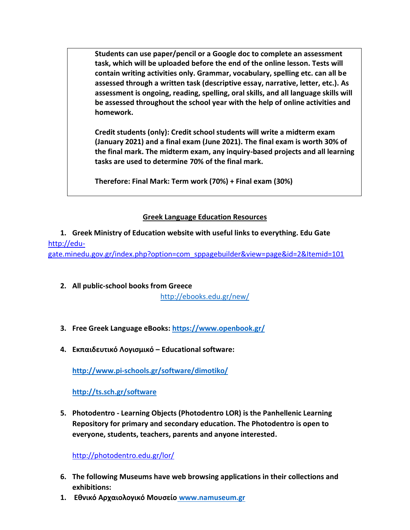**Students can use paper/pencil or a Google doc to complete an assessment task, which will be uploaded before the end of the online lesson. Tests will contain writing activities only. Grammar, vocabulary, spelling etc. can all be assessed through a written task (descriptive essay, narrative, letter, etc.). As assessment is ongoing, reading, spelling, oral skills, and all language skills will be assessed throughout the school year with the help of online activities and homework.** 

**Credit students (only): Credit school students will write a midterm exam (January 2021) and a final exam (June 2021). The final exam is worth 30% of the final mark. The midterm exam, any inquiry-based projects and all learning tasks are used to determine 70% of the final mark.** 

**Therefore: Final Mark: Term work (70%) + Final exam (30%)**

### **Greek Language Education Resources**

**1. Greek Ministry of Education website with useful links to everything. Edu Gate**  [http://edu](http://edu-gate.minedu.gov.gr/index.php?option=com_sppagebuilder&view=page&id=2&Itemid=101)[gate.minedu.gov.gr/index.php?option=com\\_sppagebuilder&view=page&id=2&Itemid=101](http://edu-gate.minedu.gov.gr/index.php?option=com_sppagebuilder&view=page&id=2&Itemid=101)

- **2. All public-school books from Greece** <http://ebooks.edu.gr/new/>
- **3. Free Greek Language eBooks:<https://www.openbook.gr/>**
- **4. Εκπαιδευτικό Λογισμικό – Educational software:**

**<http://www.pi-schools.gr/software/dimotiko/>**

**<http://ts.sch.gr/software>**

**5. Photodentro - Learning Objects (Photodentro LOR) is the Panhellenic Learning Repository for primary and secondary education. The Photodentro is open to everyone, students, teachers, parents and anyone interested.**

<http://photodentro.edu.gr/lor/>

- **6. The following Museums have web browsing applications in their collections and exhibitions:**
- **1. Εθνικό Αρχαιολογικό Μουσείο [www.namuseum.gr](http://www.namuseum.gr/)**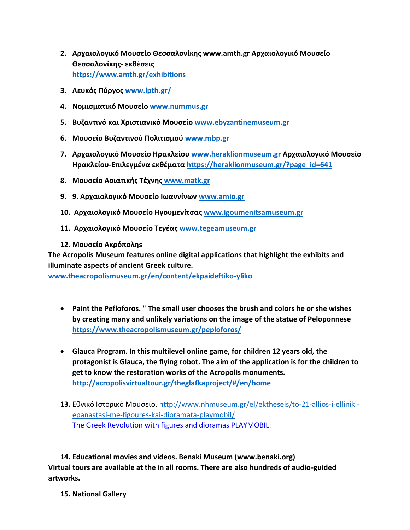- **2. Αρχαιολογικό Μουσείο Θεσσαλονίκης www.amth.gr Αρχαιολογικό Μουσείο Θεσσαλονίκης- εκθέσεις <https://www.amth.gr/exhibitions>**
- **3. Λευκός Πύργος [www.lpth.gr/](http://www.lpth.gr/)**
- **4. Νομισματικό Μουσείο [www.nummus.gr](http://www.nummus.gr/)**
- **5. Βυζαντινό και Χριστιανικό Μουσείο [www.ebyzantinemuseum.gr](http://www.ebyzantinemuseum.gr/)**
- **6. Μουσείο Βυζαντινού Πολιτισμού [www.mbp.gr](http://www.mbp.gr/)**
- **7. Αρχαιολογικό Μουσείο Ηρακλείου [www.heraklionmuseum.gr](http://www.heraklionmuseum.gr/) Αρχαιολογικό Μουσείο Ηρακλείου-Επιλεγμένα εκθέματα [https://heraklionmuseum.gr/?page\\_id=641](https://heraklionmuseum.gr/?page_id=641)**
- **8. Μουσείο Ασιατικής Τέχνης [www.matk.gr](http://www.matk.gr/)**
- **9. 9. Αρχαιολογικό Μουσείο Ιωαννίνων [www.amio.gr](http://www.amio.gr/)**
- **10. Αρχαιολογικό Μουσείο Ηγουμενίτσας [www.igoumenitsamuseum.gr](http://www.igoumenitsamuseum.gr/)**
- **11. Αρχαιολογικό Μουσείο Τεγέας [www.tegeamuseum.gr](http://www.tegeamuseum.gr/)**
- **12. Μουσείο Ακρόποληs**

**The Acropolis Museum features online digital applications that highlight the exhibits and illuminate aspects of ancient Greek culture.** 

**[www.theacropolismuseum.gr/en/content/ekpaideftiko-yliko](http://www.theacropolismuseum.gr/en/content/ekpaideftiko-yliko)**

- **Paint the Pefloforos. " The small user chooses the brush and colors he or she wishes by creating many and unlikely variations on the image of the statue of Peloponnese <https://www.theacropolismuseum.gr/peploforos/>**
- **Glauca Program. In this multilevel online game, for children 12 years old, the protagonist is Glauca, the flying robot. The aim of the application is for the children to get to know the restoration works of the Acropolis monuments. <http://acropolisvirtualtour.gr/theglafkaproject/#/en/home>**
- **13.** Εθνικό Ιστορικό Μουσείο. [http://www.nhmuseum.gr/el/ektheseis/to-21-allios-i-elliniki](http://www.nhmuseum.gr/el/ektheseis/to-21-allios-i-elliniki-epanastasi-me-figoures-kai-dioramata-playmobil/)[epanastasi-me-figoures-kai-dioramata-playmobil/](http://www.nhmuseum.gr/el/ektheseis/to-21-allios-i-elliniki-epanastasi-me-figoures-kai-dioramata-playmobil/) The Greek Revolution with figures and dioramas PLAYMOBIL.

**14. Educational movies and videos. Benaki Museum (www.benaki.org) Virtual tours are available at the in all rooms. There are also hundreds of audio-guided artworks.** 

**15. National Gallery**